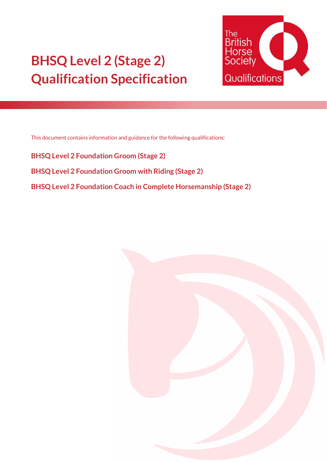# **BHSQ Level 2 (Stage 2) Qualification Specification**



This document contains information and guidance for the following qualifications:

**BHSQ Level 2 Foundation Groom (Stage 2)**

**BHSQ Level 2 Foundation Groom with Riding (Stage 2)**

**BHSQ Level 2 Foundation Coach in Complete Horsemanship (Stage 2)**

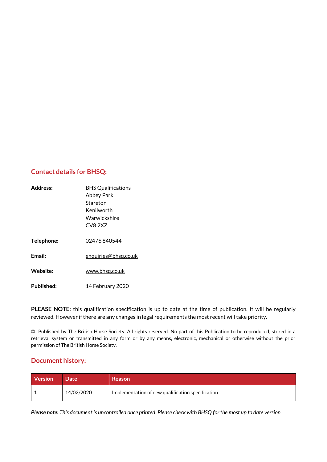#### **Contact details for BHSQ:**

| <b>BHS Qualifications</b> |
|---------------------------|
| Abbey Park                |
| Stareton                  |
| Kenilworth                |
| Warwickshire              |
| CV8 2X7                   |
| 02476840544               |
| enquiries@bhsq.co.uk      |
| www.bhsq.co.uk            |
| 14 February 2020          |
|                           |

**PLEASE NOTE:** this qualification specification is up to date at the time of publication. It will be regularly reviewed. However if there are any changes in legal requirements the most recent will take priority.

© Published by The British Horse Society. All rights reserved. No part of this Publication to be reproduced, stored in a retrieval system or transmitted in any form or by any means, electronic, mechanical or otherwise without the prior permission of The British Horse Society.

#### **Document history:**

| Version <sup>1</sup> | Date       | Reason                                            |
|----------------------|------------|---------------------------------------------------|
|                      | 14/02/2020 | Implementation of new qualification specification |

*Please note: This document is uncontrolled once printed. Please check with BHSQ for the most up to date version.*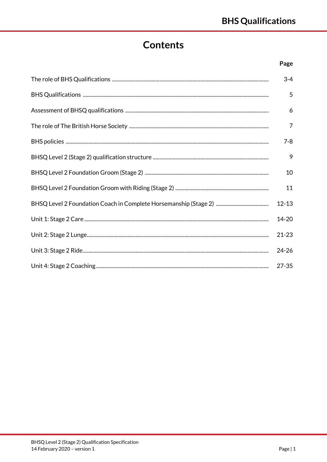## **Contents**

#### Page

| $3 - 4$        |
|----------------|
| 5              |
| 6              |
| $\overline{7}$ |
| $7-8$          |
| 9              |
| 10             |
| 11             |
| $12 - 13$      |
| 14-20          |
| $21 - 23$      |
| $24 - 26$      |
| $27 - 35$      |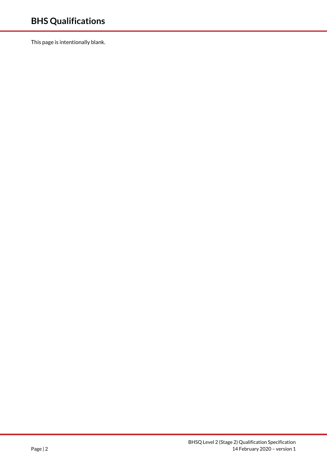This page is intentionally blank.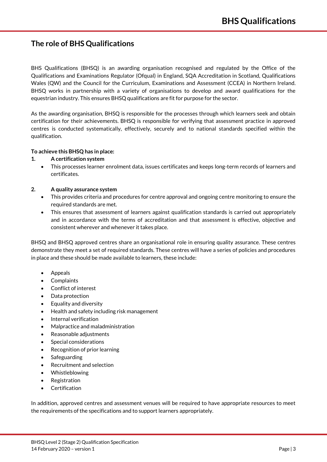### **The role of BHS Qualifications**

BHS Qualifications (BHSQ) is an awarding organisation recognised and regulated by the Office of the Qualifications and Examinations Regulator (Ofqual) in England, SQA Accreditation in Scotland, Qualifications Wales (QW) and the Council for the Curriculum, Examinations and Assessment (CCEA) in Northern Ireland. BHSQ works in partnership with a variety of organisations to develop and award qualifications for the equestrian industry. This ensures BHSQ qualifications are fit for purpose for the sector.

As the awarding organisation, BHSQ is responsible for the processes through which learners seek and obtain certification for their achievements. BHSQ is responsible for verifying that assessment practice in approved centres is conducted systematically, effectively, securely and to national standards specified within the qualification.

#### **To achieve this BHSQ has in place:**

#### **1. A certification system**

 This processes learner enrolment data, issues certificates and keeps long-term records of learners and certificates.

#### **2. A quality assurance system**

- This provides criteria and procedures for centre approval and ongoing centre monitoring to ensure the required standards are met.
- This ensures that assessment of learners against qualification standards is carried out appropriately and in accordance with the terms of accreditation and that assessment is effective, objective and consistent wherever and whenever it takes place.

BHSQ and BHSQ approved centres share an organisational role in ensuring quality assurance. These centres demonstrate they meet a set of required standards. These centres will have a series of policies and procedures in place and these should be made available to learners, these include:

- Appeals
- Complaints
- Conflict of interest
- Data protection
- Equality and diversity
- Health and safety including risk management
- Internal verification
- Malpractice and maladministration
- Reasonable adjustments
- Special considerations
- Recognition of prior learning
- Safeguarding
- Recruitment and selection
- Whistleblowing
- Registration
- Certification

In addition, approved centres and assessment venues will be required to have appropriate resources to meet the requirements of the specifications and to support learners appropriately.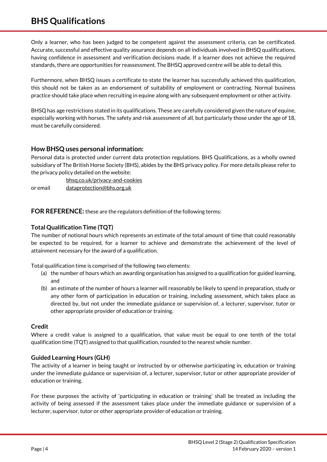Only a learner, who has been judged to be competent against the assessment criteria, can be certificated. Accurate, successful and effective quality assurance depends on all individuals involved in BHSQ qualifications, having confidence in assessment and verification decisions made. If a learner does not achieve the required standards, there are opportunities for reassessment. The BHSQ approved centre will be able to detail this.

Furthermore, when BHSQ issues a certificate to state the learner has successfully achieved this qualification, this should not be taken as an endorsement of suitability of employment or contracting. Normal business practice should take place when recruiting in equine along with any subsequent employment or other activity.

BHSQ has age restrictions stated in its qualifications. These are carefully considered given the nature of equine, especially working with horses. The safety and risk assessment of all, but particularly those under the age of 18, must be carefully considered.

#### **How BHSQ uses personal information:**

Personal data is protected under current data protection regulations. BHS Qualifications, as a wholly owned subsidiary of The British Horse Society (BHS), abides by the BHS privacy policy. For more details please refer to the privacy policy detailed on the website:

[bhsq.co.uk/privacy-and-cookies](https://www.bhsq.co.uk/privacy-and-cookies) or email [dataprotection@bhs.org.uk](mailto:dataprotection@bhs.org.uk)

**FOR REFERENCE:** these are the regulators definition of the following terms:

#### **Total Qualification Time (TQT)**

The number of notional hours which represents an estimate of the total amount of time that could reasonably be expected to be required, for a learner to achieve and demonstrate the achievement of the level of attainment necessary for the award of a qualification.

Total qualification time is comprised of the following two elements:

- (a) the number of hours which an awarding organisation has assigned to a qualification for guided learning, and
- (b) an estimate of the number of hours a learner will reasonably be likely to spend in preparation, study or any other form of participation in education or training, including assessment, which takes place as directed by, but not under the immediate guidance or supervision of, a lecturer, supervisor, tutor or other appropriate provider of education or training.

#### **Credit**

Where a credit value is assigned to a qualification, that value must be equal to one tenth of the total qualification time (TQT) assigned to that qualification, rounded to the nearest whole number.

#### **Guided Learning Hours (GLH)**

The activity of a learner in being taught or instructed by or otherwise participating in, education or training under the immediate guidance or supervision of, a lecturer, supervisor, tutor or other appropriate provider of education or training.

For these purposes the activity of 'participating in education or training' shall be treated as including the activity of being assessed if the assessment takes place under the immediate guidance or supervision of a lecturer, supervisor, tutor or other appropriate provider of education or training.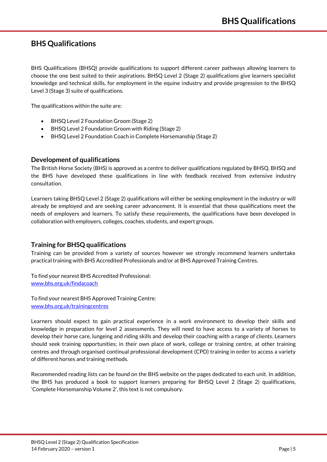BHS Qualifications (BHSQ) provide qualifications to support different career pathways allowing learners to choose the one best suited to their aspirations. BHSQ Level 2 (Stage 2) qualifications give learners specialist knowledge and technical skills, for employment in the equine industry and provide progression to the BHSQ Level 3 (Stage 3) suite of qualifications.

The qualifications within the suite are:

- BHSQ Level 2 Foundation Groom (Stage 2)
- BHSQ Level 2 Foundation Groom with Riding (Stage 2)
- BHSQ Level 2 Foundation Coach in Complete Horsemanship (Stage 2)

#### **Development of qualifications**

The British Horse Society (BHS) is approved as a centre to deliver qualifications regulated by BHSQ. BHSQ and the BHS have developed these qualifications in line with feedback received from extensive industry consultation.

Learners taking BHSQ Level 2 (Stage 2) qualifications will either be seeking employment in the industry or will already be employed and are seeking career advancement. It is essential that these qualifications meet the needs of employers and learners. To satisfy these requirements, the qualifications have been developed in collaboration with employers, colleges, coaches, students, and expert groups.

#### **Training for BHSQ qualifications**

Training can be provided from a variety of sources however we strongly recommend learners undertake practical training with BHS Accredited Professionals and/or at BHS Approved Training Centres.

To find your nearest BHS Accredited Professional: [www.bhs.org.uk/findacoach](http://www.bhs.org.uk/findacoach)

To find your nearest BHS Approved Training Centre: [www.bhs.org.uk/trainingcentres](http://www.bhs.org.uk/trainingcentres)

Learners should expect to gain practical experience in a work environment to develop their skills and knowledge in preparation for level 2 assessments. They will need to have access to a variety of horses to develop their horse care, lungeing and riding skills and develop their coaching with a range of clients. Learners should seek training opportunities; in their own place of work, college or training centre, at other training centres and through organised continual professional development (CPD) training in order to access a variety of different horses and training methods.

Recommended reading lists can be found on the BHS website on the pages dedicated to each unit. In addition, the BHS has produced a book to support learners preparing for BHSQ Level 2 (Stage 2) qualifications, 'Complete Horsemanship Volume 2', this text is not compulsory.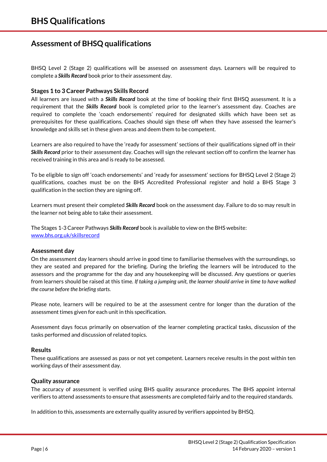### **Assessment of BHSQ qualifications**

BHSQ Level 2 (Stage 2) qualifications will be assessed on assessment days. Learners will be required to complete a *Skills Record* book prior to their assessment day.

#### **Stages 1 to 3 Career Pathways Skills Record**

All learners are issued with a *Skills Record* book at the time of booking their first BHSQ assessment. It is a requirement that the *Skills Record* book is completed prior to the learner's assessment day. Coaches are required to complete the 'coach endorsements' required for designated skills which have been set as prerequisites for these qualifications. Coaches should sign these off when they have assessed the learner's knowledge and skills set in these given areas and deem them to be competent.

Learners are also required to have the 'ready for assessment' sections of their qualifications signed off in their *Skills Record* prior to their assessment day. Coaches will sign the relevant section off to confirm the learner has received training in this area and is ready to be assessed.

To be eligible to sign off 'coach endorsements' and 'ready for assessment' sections for BHSQ Level 2 (Stage 2) qualifications, coaches must be on the BHS Accredited Professional register and hold a BHS Stage 3 qualification in the section they are signing off.

Learners must present their completed *Skills Record* book on the assessment day. Failure to do so may result in the learner not being able to take their assessment.

The Stages 1-3 Career Pathways *Skills Record* book is available to view on the BHS website: [www.bhs.org.uk/skillsrecord](http://www.bhs.org.uk/skillsrecord)

#### **Assessment day**

On the assessment day learners should arrive in good time to familiarise themselves with the surroundings, so they are seated and prepared for the briefing. During the briefing the learners will be introduced to the assessors and the programme for the day and any housekeeping will be discussed. Any questions or queries from learners should be raised at this time. *If taking a jumping unit, the learner should arrive in time to have walked the course before the briefing starts.*

Please note, learners will be required to be at the assessment centre for longer than the duration of the assessment times given for each unit in this specification.

Assessment days focus primarily on observation of the learner completing practical tasks, discussion of the tasks performed and discussion of related topics.

#### **Results**

These qualifications are assessed as pass or not yet competent. Learners receive results in the post within ten working days of their assessment day.

#### **Quality assurance**

The accuracy of assessment is verified using BHS quality assurance procedures. The BHS appoint internal verifiers to attend assessments to ensure that assessments are completed fairly and to the required standards.

In addition to this, assessments are externally quality assured by verifiers appointed by BHSQ.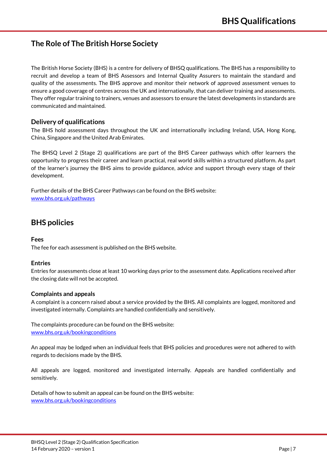### **The Role of The British Horse Society**

The British Horse Society (BHS) is a centre for delivery of BHSQ qualifications. The BHS has a responsibility to recruit and develop a team of BHS Assessors and Internal Quality Assurers to maintain the standard and quality of the assessments. The BHS approve and monitor their network of approved assessment venues to ensure a good coverage of centres across the UK and internationally, that can deliver training and assessments. They offer regular training to trainers, venues and assessors to ensure the latest developments in standards are communicated and maintained.

#### **Delivery of qualifications**

The BHS hold assessment days throughout the UK and internationally including Ireland, USA, Hong Kong, China, Singapore and the United Arab Emirates.

The BHSQ Level 2 (Stage 2) qualifications are part of the BHS Career pathways which offer learners the opportunity to progress their career and learn practical, real world skills within a structured platform. As part of the learner's journey the BHS aims to provide guidance, advice and support through every stage of their development.

Further details of the BHS Career Pathways can be found on the BHS website: [www.bhs.org.uk/pathways](http://www.bhs.org.uk/pathways)

### **BHS policies**

#### **Fees**

The fee for each assessment is published on the BHS website.

#### **Entries**

Entries for assessments close at least 10 working days prior to the assessment date. Applications received after the closing date will not be accepted.

#### **Complaints and appeals**

A complaint is a concern raised about a service provided by the BHS. All complaints are logged, monitored and investigated internally. Complaints are handled confidentially and sensitively.

The complaints procedure can be found on the BHS website: [www.bhs.org.uk/bookingconditions](http://www.bhs.org.uk/bookingconditions)

An appeal may be lodged when an individual feels that BHS policies and procedures were not adhered to with regards to decisions made by the BHS.

All appeals are logged, monitored and investigated internally. Appeals are handled confidentially and sensitively.

Details of how to submit an appeal can be found on the BHS website: [www.bhs.org.uk/bookingconditions](http://www.bhs.org.uk/bookingconditions)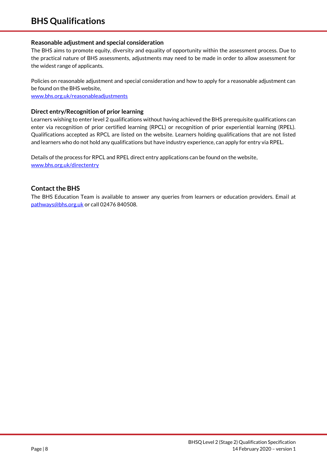#### **Reasonable adjustment and special consideration**

The BHS aims to promote equity, diversity and equality of opportunity within the assessment process. Due to the practical nature of BHS assessments, adjustments may need to be made in order to allow assessment for the widest range of applicants.

Policies on reasonable adjustment and special consideration and how to apply for a reasonable adjustment can be found on the BHS website, [www.bhs.org.uk/reasonableadjustments](http://www.bhs.org.uk/reasonableadjustments)

#### **Direct entry/Recognition of prior learning**

Learners wishing to enter level 2 qualifications without having achieved the BHS prerequisite qualifications can enter via recognition of prior certified learning (RPCL) or recognition of prior experiential learning (RPEL). Qualifications accepted as RPCL are listed on the website. Learners holding qualifications that are not listed and learners who do not hold any qualifications but have industry experience, can apply for entry via RPEL.

Details of the process for RPCL and RPEL direct entry applications can be found on the website, [www.bhs.org.uk/directentry](http://www.bhs.org.uk/directentry)

#### **Contact the BHS**

The BHS Education Team is available to answer any queries from learners or education providers. Email at [pathways@bhs.org.uk](mailto:education@bhs.org.uk) or call 02476 840508.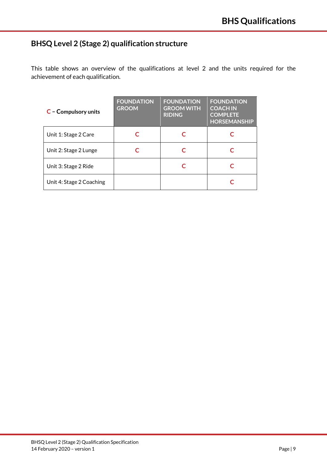## **BHSQ Level 2 (Stage 2) qualification structure**

This table shows an overview of the qualifications at level 2 and the units required for the achievement of each qualification.

| C - Compulsory units     | <b>FOUNDATION</b><br><b>GROOM</b> | <b>FOUNDATION</b><br><b>GROOM WITH</b><br><b>RIDING</b> | <b>FOUNDATION</b><br><b>COACH IN</b><br><b>COMPLETE</b><br><b>HORSEMANSHIP</b> |
|--------------------------|-----------------------------------|---------------------------------------------------------|--------------------------------------------------------------------------------|
| Unit 1: Stage 2 Care     |                                   |                                                         |                                                                                |
| Unit 2: Stage 2 Lunge    |                                   |                                                         |                                                                                |
| Unit 3: Stage 2 Ride     |                                   |                                                         |                                                                                |
| Unit 4: Stage 2 Coaching |                                   |                                                         |                                                                                |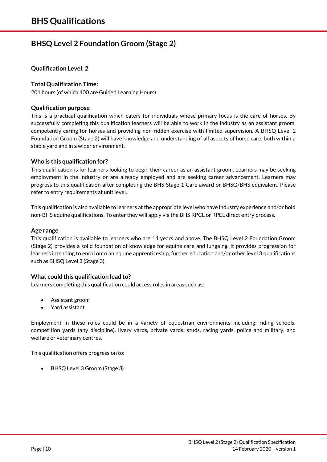## **BHSQ Level 2 Foundation Groom (Stage 2)**

#### **Qualification Level: 2**

#### **Total Qualification Time:**

201 hours (of which 100 are Guided Learning Hours)

#### **Qualification purpose**

This is a practical qualification which caters for individuals whose primary focus is the care of horses. By successfully completing this qualification learners will be able to work in the industry as an assistant groom, competently caring for horses and providing non-ridden exercise with limited supervision. A BHSQ Level 2 Foundation Groom (Stage 2) will have knowledge and understanding of all aspects of horse care, both within a stable yard and in a wider environment.

#### **Who is this qualification for?**

This qualification is for learners looking to begin their career as an assistant groom. Learners may be seeking employment in the industry or are already employed and are seeking career advancement. Learners may progress to this qualification after completing the BHS Stage 1 Care award or BHSQ/BHS equivalent. Please refer to entry requirements at unit level.

This qualification is also available to learners at the appropriate level who have industry experience and/or hold non-BHS equine qualifications. To enter they will apply via the BHS RPCL or RPEL direct entry process.

#### **Age range**

This qualification is available to learners who are 14 years and above. The BHSQ Level 2 Foundation Groom (Stage 2) provides a solid foundation of knowledge for equine care and lungeing. It provides progression for learners intending to enrol onto an equine apprenticeship, further education and/or other level 3 qualifications such as BHSQ Level 3 (Stage 3).

#### **What could this qualification lead to?**

Learners completing this qualification could access roles in areas such as:

- Assistant groom
- Yard assistant

Employment in these roles could be in a variety of equestrian environments including; riding schools, competition yards (any discipline), livery yards, private yards, studs, racing yards, police and military, and welfare or veterinary centres.

This qualification offers progression to:

BHSQ Level 3 Groom (Stage 3)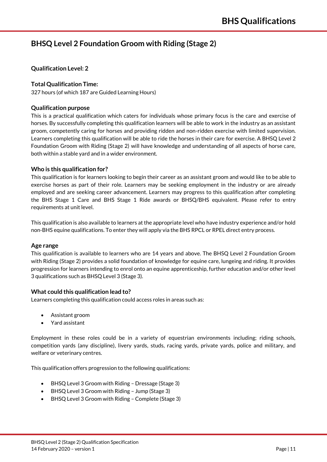## **BHSQ Level 2 Foundation Groom with Riding (Stage 2)**

#### **Qualification Level: 2**

#### **Total Qualification Time:**

327 hours (of which 187 are Guided Learning Hours)

#### **Qualification purpose**

This is a practical qualification which caters for individuals whose primary focus is the care and exercise of horses. By successfully completing this qualification learners will be able to work in the industry as an assistant groom, competently caring for horses and providing ridden and non-ridden exercise with limited supervision. Learners completing this qualification will be able to ride the horses in their care for exercise. A BHSQ Level 2 Foundation Groom with Riding (Stage 2) will have knowledge and understanding of all aspects of horse care, both within a stable yard and in a wider environment.

#### **Who is this qualification for?**

This qualification is for learners looking to begin their career as an assistant groom and would like to be able to exercise horses as part of their role. Learners may be seeking employment in the industry or are already employed and are seeking career advancement. Learners may progress to this qualification after completing the BHS Stage 1 Care and BHS Stage 1 Ride awards or BHSQ/BHS equivalent. Please refer to entry requirements at unit level.

This qualification is also available to learners at the appropriate level who have industry experience and/or hold non-BHS equine qualifications. To enter they will apply via the BHS RPCL or RPEL direct entry process.

#### **Age range**

This qualification is available to learners who are 14 years and above. The BHSQ Level 2 Foundation Groom with Riding (Stage 2) provides a solid foundation of knowledge for equine care, lungeing and riding. It provides progression for learners intending to enrol onto an equine apprenticeship, further education and/or other level 3 qualifications such as BHSQ Level 3 (Stage 3).

#### **What could this qualification lead to?**

Learners completing this qualification could access roles in areas such as:

- Assistant groom
- Yard assistant

Employment in these roles could be in a variety of equestrian environments including; riding schools, competition yards (any discipline), livery yards, studs, racing yards, private yards, police and military, and welfare or veterinary centres.

This qualification offers progression to the following qualifications:

- BHSQ Level 3 Groom with Riding Dressage (Stage 3)
- BHSQ Level 3 Groom with Riding Jump (Stage 3)
- BHSQ Level 3 Groom with Riding Complete (Stage 3)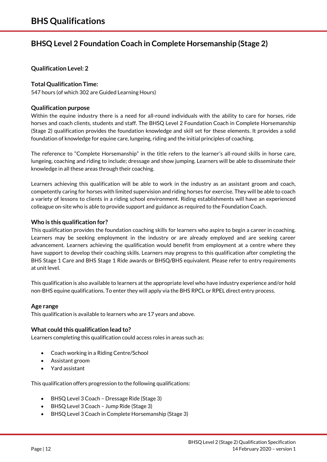## **BHSQ Level 2 Foundation Coach in Complete Horsemanship (Stage 2)**

#### **Qualification Level: 2**

#### **Total Qualification Time:**

547 hours (of which 302 are Guided Learning Hours)

#### **Qualification purpose**

Within the equine industry there is a need for all-round individuals with the ability to care for horses, ride horses and coach clients, students and staff. The BHSQ Level 2 Foundation Coach in Complete Horsemanship (Stage 2) qualification provides the foundation knowledge and skill set for these elements. It provides a solid foundation of knowledge for equine care, lungeing, riding and the initial principles of coaching.

The reference to "Complete Horsemanship" in the title refers to the learner's all-round skills in horse care, lungeing, coaching and riding to include; dressage and show jumping. Learners will be able to disseminate their knowledge in all these areas through their coaching.

Learners achieving this qualification will be able to work in the industry as an assistant groom and coach, competently caring for horses with limited supervision and riding horses for exercise. They will be able to coach a variety of lessons to clients in a riding school environment. Riding establishments will have an experienced colleague on-site who is able to provide support and guidance as required to the Foundation Coach.

#### **Who is this qualification for?**

This qualification provides the foundation coaching skills for learners who aspire to begin a career in coaching. Learners may be seeking employment in the industry or are already employed and are seeking career advancement. Learners achieving the qualification would benefit from employment at a centre where they have support to develop their coaching skills. Learners may progress to this qualification after completing the BHS Stage 1 Care and BHS Stage 1 Ride awards or BHSQ/BHS equivalent. Please refer to entry requirements at unit level.

This qualification is also available to learners at the appropriate level who have industry experience and/or hold non-BHS equine qualifications. To enter they will apply via the BHS RPCL or RPEL direct entry process.

#### **Age range**

This qualification is available to learners who are 17 years and above.

#### **What could this qualification lead to?**

Learners completing this qualification could access roles in areas such as:

- Coach working in a Riding Centre/School
- Assistant groom
- Yard assistant

This qualification offers progression to the following qualifications:

- BHSQ Level 3 Coach Dressage Ride (Stage 3)
- BHSQ Level 3 Coach Jump Ride (Stage 3)
- BHSQ Level 3 Coach in Complete Horsemanship (Stage 3)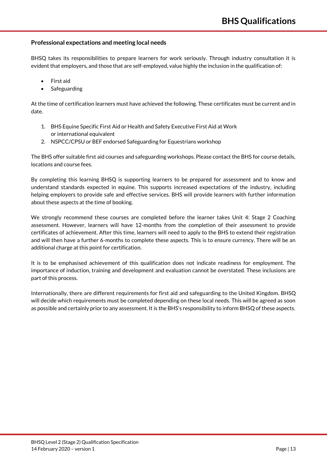#### **Professional expectations and meeting local needs**

BHSQ takes its responsibilities to prepare learners for work seriously. Through industry consultation it is evident that employers, and those that are self-employed, value highly the inclusion in the qualification of:

- First aid
- Safeguarding

At the time of certification learners must have achieved the following. These certificates must be current and in date.

- 1. BHS Equine Specific First Aid or Health and Safety Executive First Aid at Work or international equivalent
- 2. NSPCC/CPSU or BEF endorsed Safeguarding for Equestrians workshop

The BHS offer suitable first aid courses and safeguarding workshops. Please contact the BHS for course details, locations and course fees.

By completing this learning BHSQ is supporting learners to be prepared for assessment and to know and understand standards expected in equine. This supports increased expectations of the industry, including helping employers to provide safe and effective services. BHS will provide learners with further information about these aspects at the time of booking.

We strongly recommend these courses are completed before the learner takes Unit 4: Stage 2 Coaching assessment. However, learners will have 12-months from the completion of their assessment to provide certificates of achievement. After this time, learners will need to apply to the BHS to extend their registration and will then have a further 6-months to complete these aspects. This is to ensure currency. There will be an additional charge at this point for certification.

It is to be emphasised achievement of this qualification does not indicate readiness for employment. The importance of induction, training and development and evaluation cannot be overstated. These inclusions are part of this process.

Internationally, there are different requirements for first aid and safeguarding to the United Kingdom. BHSQ will decide which requirements must be completed depending on these local needs. This will be agreed as soon as possible and certainly prior to any assessment. It is the BHS's responsibility to inform BHSQ of these aspects.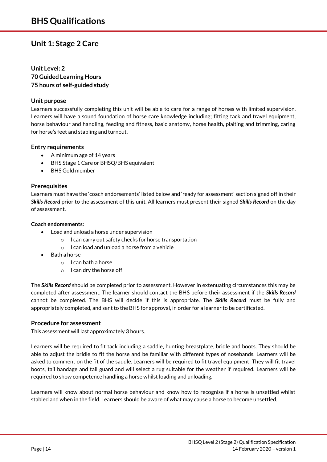### **Unit 1: Stage 2 Care**

**Unit Level: 2 70 Guided Learning Hours 75 hours of self-guided study**

#### **Unit purpose**

Learners successfully completing this unit will be able to care for a range of horses with limited supervision. Learners will have a sound foundation of horse care knowledge including; fitting tack and travel equipment, horse behaviour and handling, feeding and fitness, basic anatomy, horse health, plaiting and trimming, caring for horse's feet and stabling and turnout.

#### **Entry requirements**

- A minimum age of 14 years
- BHS Stage 1 Care or BHSQ/BHS equivalent
- BHS Gold member

#### **Prerequisites**

Learners must have the 'coach endorsements' listed below and 'ready for assessment' section signed off in their *Skills Record* prior to the assessment of this unit. All learners must present their signed *Skills Record* on the day of assessment.

#### **Coach endorsements:**

- Load and unload a horse under supervision
	- o I can carry out safety checks for horse transportation
	- $\circ$  I can load and unload a horse from a vehicle
- Bath a horse
	- o I can bath a horse
	- o I can dry the horse off

The *Skills Record* should be completed prior to assessment. However in extenuating circumstances this may be completed after assessment. The learner should contact the BHS before their assessment if the *Skills Record* cannot be completed. The BHS will decide if this is appropriate. The *Skills Record* must be fully and appropriately completed, and sent to the BHS for approval, in order for a learner to be certificated.

#### **Procedure for assessment**

This assessment will last approximately 3 hours.

Learners will be required to fit tack including a saddle, hunting breastplate, bridle and boots. They should be able to adjust the bridle to fit the horse and be familiar with different types of nosebands. Learners will be asked to comment on the fit of the saddle. Learners will be required to fit travel equipment. They will fit travel boots, tail bandage and tail guard and will select a rug suitable for the weather if required. Learners will be required to show competence handling a horse whilst loading and unloading.

Learners will know about normal horse behaviour and know how to recognise if a horse is unsettled whilst stabled and when in the field. Learners should be aware of what may cause a horse to become unsettled.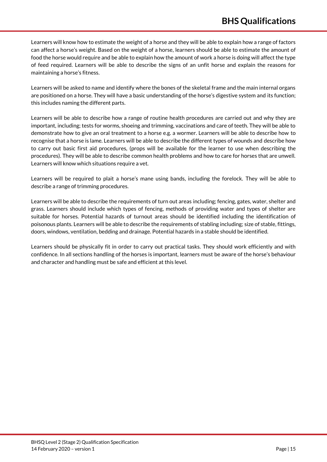Learners will know how to estimate the weight of a horse and they will be able to explain how a range of factors can affect a horse's weight. Based on the weight of a horse, learners should be able to estimate the amount of food the horse would require and be able to explain how the amount of work a horse is doing will affect the type of feed required. Learners will be able to describe the signs of an unfit horse and explain the reasons for maintaining a horse's fitness.

Learners will be asked to name and identify where the bones of the skeletal frame and the main internal organs are positioned on a horse. They will have a basic understanding of the horse's digestive system and its function; this includes naming the different parts.

Learners will be able to describe how a range of routine health procedures are carried out and why they are important, including; tests for worms, shoeing and trimming, vaccinations and care of teeth. They will be able to demonstrate how to give an oral treatment to a horse e.g. a wormer. Learners will be able to describe how to recognise that a horse is lame. Learners will be able to describe the different types of wounds and describe how to carry out basic first aid procedures, (props will be available for the learner to use when describing the procedures). They will be able to describe common health problems and how to care for horses that are unwell. Learners will know which situations require a vet.

Learners will be required to plait a horse's mane using bands, including the forelock. They will be able to describe a range of trimming procedures.

Learners will be able to describe the requirements of turn out areas including; fencing, gates, water, shelter and grass. Learners should include which types of fencing, methods of providing water and types of shelter are suitable for horses. Potential hazards of turnout areas should be identified including the identification of poisonous plants. Learners will be able to describe the requirements of stabling including; size of stable, fittings, doors, windows, ventilation, bedding and drainage. Potential hazards in a stable should be identified.

Learners should be physically fit in order to carry out practical tasks. They should work efficiently and with confidence. In all sections handling of the horses is important, learners must be aware of the horse's behaviour and character and handling must be safe and efficient at this level.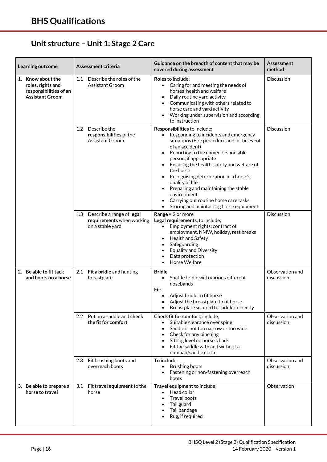## **Unit structure – Unit 1: Stage 2 Care**

| Learning outcome                                                                           | Assessment criteria                                                            | Guidance on the breadth of content that may be<br>covered during assessment                                                                                                                                                                                                                                                                                                                                                                                                                                       | Assessment<br>method          |
|--------------------------------------------------------------------------------------------|--------------------------------------------------------------------------------|-------------------------------------------------------------------------------------------------------------------------------------------------------------------------------------------------------------------------------------------------------------------------------------------------------------------------------------------------------------------------------------------------------------------------------------------------------------------------------------------------------------------|-------------------------------|
| 1. Know about the<br>roles, rights and<br>responsibilities of an<br><b>Assistant Groom</b> | 1.1<br>Describe the roles of the<br><b>Assistant Groom</b>                     | Roles to include;<br>• Caring for and meeting the needs of<br>horses' health and welfare<br>Daily routine yard activity<br>$\bullet$<br>Communicating with others related to<br>horse care and yard activity<br>Working under supervision and according<br>to instruction                                                                                                                                                                                                                                         | <b>Discussion</b>             |
|                                                                                            | 1.2 Describe the<br>responsibilities of the<br><b>Assistant Groom</b>          | Responsibilities to include;<br>Responding to incidents and emergency<br>$\bullet$<br>situations (Fire procedure and in the event<br>of an accident)<br>Reporting to the named responsible<br>person, if appropriate<br>Ensuring the health, safety and welfare of<br>$\bullet$<br>the horse<br>Recognising deterioration in a horse's<br>quality of life<br>Preparing and maintaining the stable<br>environment<br>Carrying out routine horse care tasks<br>Storing and maintaining horse equipment<br>$\bullet$ | Discussion                    |
|                                                                                            | 1.3 Describe a range of legal<br>requirements when working<br>on a stable yard | Range = 2 or more<br>Legal requirements, to include;<br>Employment rights; contract of<br>$\bullet$<br>employment, NMW, holiday, rest breaks<br>Health and Safety<br>$\bullet$<br>Safeguarding<br><b>Equality and Diversity</b><br>٠<br>Data protection<br>Horse Welfare                                                                                                                                                                                                                                          | Discussion                    |
| 2. Be able to fit tack<br>and boots on a horse                                             | 2.1<br>Fit a bridle and hunting<br>breastplate                                 | <b>Bridle</b><br>Snaffle bridle with various different<br>$\bullet$<br>nosebands<br>Fit:<br>Adjust bridle to fit horse<br>$\bullet$<br>Adjust the breastplate to fit horse<br>Breastplate secured to saddle correctly<br>$\bullet$                                                                                                                                                                                                                                                                                | Observation and<br>discussion |
|                                                                                            | 2.2 Put on a saddle and check<br>the fit for comfort                           | Check fit for comfort, include;<br>Suitable clearance over spine<br>$\bullet$<br>Saddle is not too narrow or too wide<br>$\bullet$<br>Check for any pinching<br>Sitting level on horse's back<br>Fit the saddle with and without a<br>numnah/saddle cloth                                                                                                                                                                                                                                                         | Observation and<br>discussion |
|                                                                                            | 2.3<br>Fit brushing boots and<br>overreach boots                               | To include;<br><b>Brushing boots</b><br>$\bullet$<br>Fastening or non-fastening overreach<br>boots                                                                                                                                                                                                                                                                                                                                                                                                                | Observation and<br>discussion |
| 3. Be able to prepare a<br>horse to travel                                                 | 3.1<br>Fit travel equipment to the<br>horse                                    | Travel equipment to include;<br>Head collar<br><b>Travel boots</b><br>$\bullet$<br>Tail guard<br>Tail bandage<br>Rug, if required<br>$\bullet$                                                                                                                                                                                                                                                                                                                                                                    | Observation                   |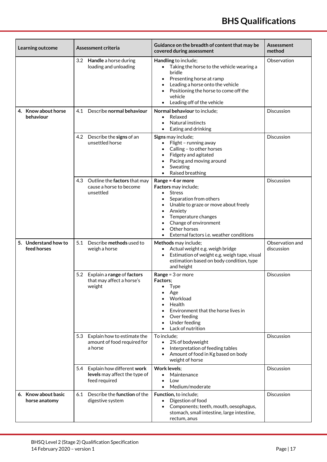| Learning outcome                     | Assessment criteria                                                                 | Guidance on the breadth of content that may be<br>covered during assessment                                                                                                                                                                                                                                                         | Assessment<br>method          |
|--------------------------------------|-------------------------------------------------------------------------------------|-------------------------------------------------------------------------------------------------------------------------------------------------------------------------------------------------------------------------------------------------------------------------------------------------------------------------------------|-------------------------------|
|                                      | 3.2 Handle a horse during<br>loading and unloading                                  | Handling to include;<br>Taking the horse to the vehicle wearing a<br>$\bullet$<br>bridle<br>Presenting horse at ramp<br>Leading a horse onto the vehicle<br>Positioning the horse to come off the<br>vehicle<br>Leading off of the vehicle<br>$\bullet$                                                                             | Observation                   |
| 4. Know about horse<br>behaviour     | Describe normal behaviour<br>4.1                                                    | Normal behaviour to include;<br>Relaxed<br>$\bullet$<br>Natural instincts<br>Eating and drinking                                                                                                                                                                                                                                    | Discussion                    |
|                                      | 4.2 Describe the signs of an<br>unsettled horse                                     | Signs may include;<br>Flight - running away<br>$\bullet$<br>Calling - to other horses<br>$\bullet$<br>Fidgety and agitated<br>$\bullet$<br>Pacing and moving around<br>Sweating<br>Raised breathing<br>$\bullet$                                                                                                                    | <b>Discussion</b>             |
|                                      | Outline the factors that may<br>4.3<br>cause a horse to become<br>unsettled         | Range = $4$ or more<br>Factors may include;<br><b>Stress</b><br>$\bullet$<br>Separation from others<br>$\bullet$<br>Unable to graze or move about freely<br>$\bullet$<br>Anxiety<br>$\bullet$<br>Temperature changes<br>Change of environment<br>Other horses<br>$\bullet$<br>External factors i.e. weather conditions<br>$\bullet$ | <b>Discussion</b>             |
| 5. Understand how to<br>feed horses  | Describe methods used to<br>5.1<br>weigh a horse                                    | Methods may include;<br>Actual weight e.g. weigh bridge<br>$\bullet$<br>Estimation of weight e.g. weigh tape, visual<br>$\bullet$<br>estimation based on body condition, type<br>and height                                                                                                                                         | Observation and<br>discussion |
|                                      | Explain a range of factors<br>5.2<br>that may affect a horse's<br>weight            | Range = $3$ or more<br><b>Factors:</b><br>Type<br>Age<br>Workload<br>Health<br>Environment that the horse lives in<br>Over feeding<br>Under feeding<br>Lack of nutrition                                                                                                                                                            | Discussion                    |
|                                      | Explain how to estimate the<br>5.3<br>amount of food required for<br>a horse        | To include:<br>2% of bodyweight<br>$\bullet$<br>Interpretation of feeding tables<br>Amount of food in Kg based on body<br>$\bullet$<br>weight of horse                                                                                                                                                                              | <b>Discussion</b>             |
|                                      | Explain how different work<br>5.4<br>levels may affect the type of<br>feed required | Work levels;<br>Maintenance<br>Low<br>Medium/moderate<br>$\bullet$                                                                                                                                                                                                                                                                  | Discussion                    |
| 6. Know about basic<br>horse anatomy | Describe the <b>function</b> of the<br>6.1<br>digestive system                      | Function, to include;<br>Digestion of food<br>Components; teeth, mouth, oesophagus,<br>$\bullet$<br>stomach, small intestine, large intestine,<br>rectum, anus                                                                                                                                                                      | Discussion                    |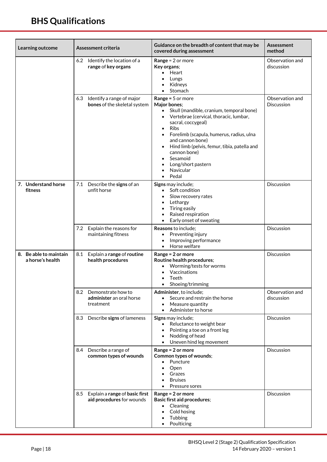| Learning outcome                           | Assessment criteria                                                | Guidance on the breadth of content that may be<br>covered during assessment                                                                                                                                                                                                                                                                                                                                | Assessment<br>method                 |
|--------------------------------------------|--------------------------------------------------------------------|------------------------------------------------------------------------------------------------------------------------------------------------------------------------------------------------------------------------------------------------------------------------------------------------------------------------------------------------------------------------------------------------------------|--------------------------------------|
|                                            | Identify the location of a<br>6.2<br>range of key organs           | Range = $2$ or more<br>Key organs;<br>Heart<br>Lungs<br>Kidneys<br>Stomach<br>$\bullet$                                                                                                                                                                                                                                                                                                                    | Observation and<br>discussion        |
|                                            | Identify a range of major<br>6.3<br>bones of the skeletal system   | Range = $5$ or more<br>Major bones;<br>Skull (mandible, cranium, temporal bone)<br>$\bullet$<br>Vertebrae (cervical, thoracic, lumbar,<br>sacral, coccygeal)<br><b>Ribs</b><br>$\bullet$<br>Forelimb (scapula, humerus, radius, ulna<br>$\bullet$<br>and cannon bone)<br>Hind limb (pelvis, femur, tibia, patella and<br>cannon bone)<br>Sesamoid<br>Long/short pastern<br>Navicular<br>Pedal<br>$\bullet$ | Observation and<br><b>Discussion</b> |
| 7. Understand horse<br>fitness             | 7.1 Describe the signs of an<br>unfit horse                        | Signs may include;<br>Soft condition<br>$\bullet$<br>Slow recovery rates<br>Lethargy<br>$\bullet$<br>Tiring easily<br>Raised respiration<br>Early onset of sweating                                                                                                                                                                                                                                        | <b>Discussion</b>                    |
|                                            | 7.2 Explain the reasons for<br>maintaining fitness                 | Reasons to include;<br>Preventing injury<br>Improving performance<br>Horse welfare<br>$\bullet$                                                                                                                                                                                                                                                                                                            | Discussion                           |
| 8. Be able to maintain<br>a horse's health | 8.1 Explain a range of routine<br>health procedures                | Range = 2 or more<br>Routine health procedures;<br>Worming/tests for worms<br>$\bullet$<br>Vaccinations<br>Teeth<br>$\bullet$<br>Shoeing/trimming<br>٠                                                                                                                                                                                                                                                     | Discussion                           |
|                                            | 8.2 Demonstrate how to<br>administer an oral horse<br>treatment    | Administer, to include;<br>Secure and restrain the horse<br>$\bullet$<br>Measure quantity<br>Administer to horse                                                                                                                                                                                                                                                                                           | Observation and<br>discussion        |
|                                            | Describe signs of lameness<br>8.3                                  | Signs may include;<br>Reluctance to weight bear<br>$\bullet$<br>Pointing a toe on a front leg<br>Nodding of head<br>Uneven hind leg movement<br>$\bullet$                                                                                                                                                                                                                                                  | <b>Discussion</b>                    |
|                                            | Describe a range of<br>8.4<br>common types of wounds               | Range = 2 or more<br>Common types of wounds;<br>Puncture<br>$\bullet$<br>Open<br>Grazes<br><b>Bruises</b><br>Pressure sores                                                                                                                                                                                                                                                                                | Discussion                           |
|                                            | Explain a range of basic first<br>8.5<br>aid procedures for wounds | Range = 2 or more<br><b>Basic first aid procedures;</b><br>Cleaning<br>Cold hosing<br>Tubbing<br>Poulticing                                                                                                                                                                                                                                                                                                | Discussion                           |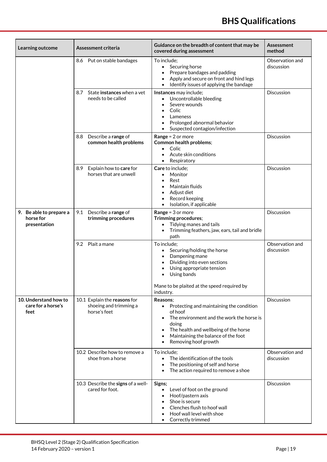| Learning outcome                                     | Assessment criteria                                                    | Guidance on the breadth of content that may be<br>covered during assessment                                                                                                                                                                                                       | <b>Assessment</b><br>method   |
|------------------------------------------------------|------------------------------------------------------------------------|-----------------------------------------------------------------------------------------------------------------------------------------------------------------------------------------------------------------------------------------------------------------------------------|-------------------------------|
|                                                      | 8.6 Put on stable bandages                                             | To include;<br>Securing horse<br>$\bullet$<br>Prepare bandages and padding<br>Apply and secure on front and hind legs<br>Identify issues of applying the bandage                                                                                                                  | Observation and<br>discussion |
|                                                      | State <b>instances</b> when a vet<br>8.7<br>needs to be called         | Instances may include;<br>Uncontrollable bleeding<br>Severe wounds<br>Colic<br>Lameness<br>$\bullet$<br>Prolonged abnormal behavior<br>Suspected contagion/infection<br>$\bullet$                                                                                                 | Discussion                    |
|                                                      | 8.8 Describe a range of<br>common health problems                      | Range = $2$ or more<br>Common health problems;<br>Colic<br>$\bullet$<br>Acute skin conditions<br>Respiratory                                                                                                                                                                      | Discussion                    |
|                                                      | Explain how to care for<br>8.9<br>horses that are unwell               | Care to include;<br>Monitor<br>Rest<br>Maintain fluids<br>Adjust diet<br>Record keeping<br>Isolation, if applicable                                                                                                                                                               | Discussion                    |
| 9. Be able to prepare a<br>horse for<br>presentation | 9.1 Describe a range of<br>trimming procedures                         | Range = $3$ or more<br>Trimming procedures;<br>Tidying manes and tails<br>Trimming feathers, jaw, ears, tail and bridle<br>path                                                                                                                                                   | Discussion                    |
|                                                      | Plait a mane<br>9.2                                                    | To include;<br>Securing/holding the horse<br>Dampening mane<br>Dividing into even sections<br>Using appropriate tension<br>Using bands<br>$\bullet$<br>Mane to be plaited at the speed required by                                                                                | Observation and<br>discussion |
| 10. Understand how to<br>care for a horse's<br>feet  | 10.1 Explain the reasons for<br>shoeing and trimming a<br>horse's feet | industry.<br>Reasons:<br>Protecting and maintaining the condition<br>$\bullet$<br>of hoof<br>The environment and the work the horse is<br>$\bullet$<br>doing<br>The health and wellbeing of the horse<br>$\bullet$<br>Maintaining the balance of the foot<br>Removing hoof growth | Discussion                    |
|                                                      | 10.2 Describe how to remove a<br>shoe from a horse                     | To include;<br>The identification of the tools<br>$\bullet$<br>The positioning of self and horse<br>The action required to remove a shoe<br>$\bullet$                                                                                                                             | Observation and<br>discussion |
|                                                      | 10.3 Describe the signs of a well-<br>cared for foot.                  | Signs;<br>Level of foot on the ground<br>$\bullet$<br>Hoof/pastern axis<br>$\bullet$<br>Shoe is secure<br>Clenches flush to hoof wall<br>Hoof wall level with shoe<br>Correctly trimmed                                                                                           | Discussion                    |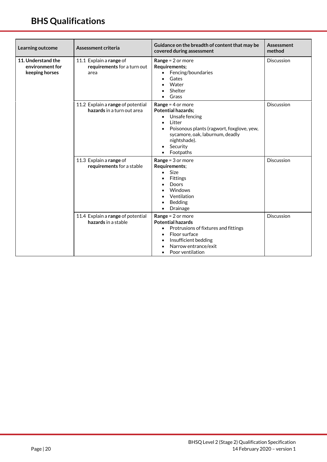| Learning outcome                                        | Assessment criteria                                             | Guidance on the breadth of content that may be<br>covered during assessment                                                                                                                                                                  | Assessment<br>method |
|---------------------------------------------------------|-----------------------------------------------------------------|----------------------------------------------------------------------------------------------------------------------------------------------------------------------------------------------------------------------------------------------|----------------------|
| 11. Understand the<br>environment for<br>keeping horses | 11.1 Explain a range of<br>requirements for a turn out<br>area  | Range = $2$ or more<br>Requirements;<br>Fencing/boundaries<br>Gates<br>Water<br>Shelter<br>Grass                                                                                                                                             | <b>Discussion</b>    |
|                                                         | 11.2 Explain a range of potential<br>hazards in a turn out area | Range = $4$ or more<br><b>Potential hazards;</b><br>Unsafe fencing<br>$\bullet$<br>Litter<br>Poisonous plants (ragwort, foxglove, yew,<br>$\bullet$<br>sycamore, oak, laburnum, deadly<br>nightshade).<br>Security<br>Footpaths<br>$\bullet$ | Discussion           |
|                                                         | 11.3 Explain a range of<br>requirements for a stable            | Range = $3$ or more<br>Requirements;<br>Size<br>$\bullet$<br><b>Fittings</b><br>Doors<br>$\bullet$<br>Windows<br>Ventilation<br><b>Bedding</b><br>$\bullet$<br>Drainage<br>$\bullet$                                                         | Discussion           |
|                                                         | 11.4 Explain a range of potential<br>hazards in a stable        | Range = $2$ or more<br><b>Potential hazards</b><br>Protrusions of fixtures and fittings<br>$\bullet$<br>Floor surface<br>$\bullet$<br>Insufficient bedding<br>$\bullet$<br>Narrow entrance/exit<br>Poor ventilation                          | Discussion           |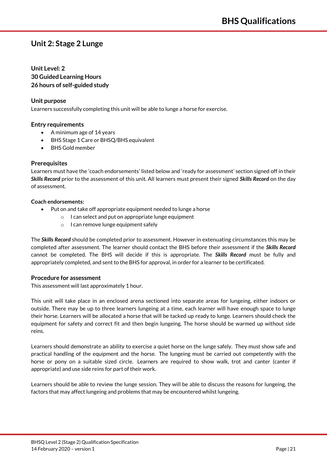### **Unit 2: Stage 2 Lunge**

**Unit Level: 2 30 Guided Learning Hours 26 hours of self-guided study**

#### **Unit purpose**

Learners successfully completing this unit will be able to lunge a horse for exercise.

#### **Entry requirements**

- A minimum age of 14 years
- BHS Stage 1 Care or BHSQ/BHS equivalent
- BHS Gold member

#### **Prerequisites**

Learners must have the 'coach endorsements' listed below and 'ready for assessment' section signed off in their *Skills Record* prior to the assessment of this unit. All learners must present their signed *Skills Record* on the day of assessment.

#### **Coach endorsements:**

- Put on and take off appropriate equipment needed to lunge a horse
	- o I can select and put on appropriate lunge equipment
	- o I can remove lunge equipment safely

The *Skills Record* should be completed prior to assessment. However in extenuating circumstances this may be completed after assessment. The learner should contact the BHS before their assessment if the *Skills Record* cannot be completed. The BHS will decide if this is appropriate. The *Skills Record* must be fully and appropriately completed, and sent to the BHS for approval, in order for a learner to be certificated.

#### **Procedure for assessment**

This assessment will last approximately 1 hour.

This unit will take place in an enclosed arena sectioned into separate areas for lungeing, either indoors or outside. There may be up to three learners lungeing at a time, each learner will have enough space to lunge their horse. Learners will be allocated a horse that will be tacked up ready to lunge. Learners should check the equipment for safety and correct fit and then begin lungeing. The horse should be warmed up without side reins.

Learners should demonstrate an ability to exercise a quiet horse on the lunge safely. They must show safe and practical handling of the equipment and the horse. The lungeing must be carried out competently with the horse or pony on a suitable sized circle. Learners are required to show walk, trot and canter (canter if appropriate) and use side reins for part of their work.

Learners should be able to review the lunge session. They will be able to discuss the reasons for lungeing, the factors that may affect lungeing and problems that may be encountered whilst lungeing.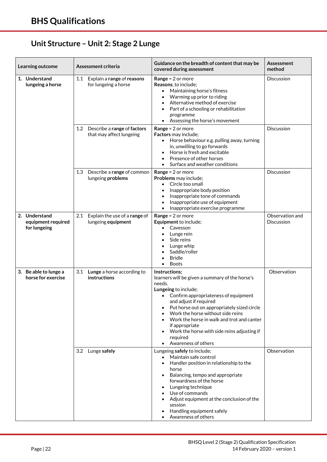## **Unit Structure – Unit 2: Stage 2 Lunge**

| Learning outcome                                    | Assessment criteria                                         | Guidance on the breadth of content that may be<br>covered during assessment                                                                                                                                                                                                                                                                                                                                             | Assessment<br>method                 |
|-----------------------------------------------------|-------------------------------------------------------------|-------------------------------------------------------------------------------------------------------------------------------------------------------------------------------------------------------------------------------------------------------------------------------------------------------------------------------------------------------------------------------------------------------------------------|--------------------------------------|
| 1. Understand<br>lungeing a horse                   | 1.1<br>Explain a range of reasons<br>for lungeing a horse   | Range = $2$ or more<br>Reasons, to include;<br>Maintaining horse's fitness<br>Warming up prior to riding<br>Alternative method of exercise<br>Part of a schooling or rehabilitation<br>programme<br>Assessing the horse's movement                                                                                                                                                                                      | Discussion                           |
|                                                     | 1.2 Describe a range of factors<br>that may affect lungeing | Range = $2$ or more<br>Factors may include;<br>• Horse behaviour e.g. pulling away, turning<br>in, unwilling to go forwards<br>Horse is fresh and excitable<br>Presence of other horses<br>Surface and weather conditions                                                                                                                                                                                               | Discussion                           |
|                                                     | 1.3<br>Describe a range of common<br>lungeing problems      | Range = $2$ or more<br>Problems may include;<br>Circle too small<br>$\bullet$<br>Inappropriate body position<br>$\bullet$<br>Inappropriate tone of commands<br>$\bullet$<br>Inappropriate use of equipment<br>٠<br>Inappropriate exercise programme                                                                                                                                                                     | Discussion                           |
| 2. Understand<br>equipment required<br>for lungeing | 2.1<br>Explain the use of a range of<br>lungeing equipment  | Range = $2$ or more<br>Equipment to include;<br>Cavesson<br>Lunge rein<br>Side reins<br>Lunge whip<br>Saddle/roller<br><b>Bridle</b><br><b>Boots</b>                                                                                                                                                                                                                                                                    | Observation and<br><b>Discussion</b> |
| 3. Be able to lunge a<br>horse for exercise         | 3.1<br>Lunge a horse according to<br>instructions           | Instructions;<br>learners will be given a summary of the horse's<br>needs.<br>Lungeing to include;<br>Confirm appropriateness of equipment<br>and adjust if required<br>Put horse out on appropriately sized circle<br>Work the horse without side reins<br>Work the horse in walk and trot and canter<br>if appropriate<br>Work the horse with side reins adjusting if<br>required<br>Awareness of others<br>$\bullet$ | Observation                          |
|                                                     | 3.2<br>Lunge safely                                         | Lungeing safely to include;<br>Maintain safe control<br>Handler position in relationship to the<br>horse<br>Balancing, tempo and appropriate<br>forwardness of the horse<br>Lungeing technique<br>Use of commands<br>Adjust equipment at the conclusion of the<br>session<br>Handling equipment safely<br>Awareness of others                                                                                           | Observation                          |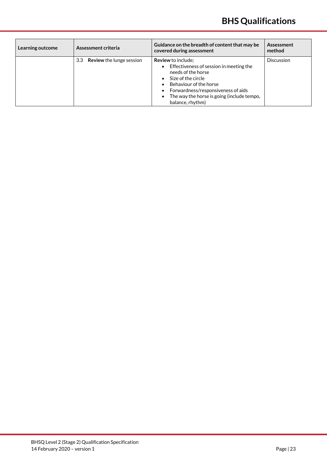| Learning outcome | Assessment criteria                    | Guidance on the breadth of content that may be<br>covered during assessment                                                                                                                                                                                                                            | Assessment<br>method |
|------------------|----------------------------------------|--------------------------------------------------------------------------------------------------------------------------------------------------------------------------------------------------------------------------------------------------------------------------------------------------------|----------------------|
|                  | <b>Review</b> the lunge session<br>3.3 | <b>Review</b> to include;<br>Effectiveness of session in meeting the<br>$\bullet$<br>needs of the horse<br>Size of the circle<br>$\bullet$<br>Behaviour of the horse<br>$\bullet$<br>Forwardness/responsiveness of aids<br>$\bullet$<br>The way the horse is going (include tempo,<br>balance, rhythm) | <b>Discussion</b>    |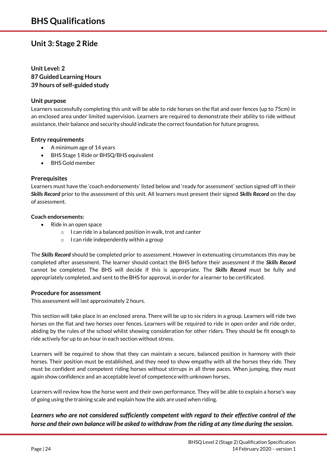### **Unit 3: Stage 2 Ride**

**Unit Level: 2 87 Guided Learning Hours 39 hours of self-guided study**

#### **Unit purpose**

Learners successfully completing this unit will be able to ride horses on the flat and over fences (up to 75cm) in an enclosed area under limited supervision. Learners are required to demonstrate their ability to ride without assistance, their balance and security should indicate the correct foundation for future progress.

#### **Entry requirements**

- A minimum age of 14 years
- BHS Stage 1 Ride or BHSQ/BHS equivalent
- BHS Gold member

#### **Prerequisites**

Learners must have the 'coach endorsements' listed below and 'ready for assessment' section signed off in their *Skills Record* prior to the assessment of this unit. All learners must present their signed *Skills Record* on the day of assessment.

#### **Coach endorsements:**

- Ride in an open space
	- o I can ride in a balanced position in walk, trot and canter
	- $\circ$  I can ride independently within a group

The *Skills Record* should be completed prior to assessment. However in extenuating circumstances this may be completed after assessment. The learner should contact the BHS before their assessment if the *Skills Record* cannot be completed. The BHS will decide if this is appropriate. The *Skills Record* must be fully and appropriately completed, and sent to the BHS for approval, in order for a learner to be certificated.

#### **Procedure for assessment**

This assessment will last approximately 2 hours.

This section will take place in an enclosed arena. There will be up to six riders in a group. Learners will ride two horses on the flat and two horses over fences. Learners will be required to ride in open order and ride order, abiding by the rules of the school whilst showing consideration for other riders. They should be fit enough to ride actively for up to an hour in each section without stress.

Learners will be required to show that they can maintain a secure, balanced position in harmony with their horses. Their position must be established, and they need to show empathy with all the horses they ride. They must be confident and competent riding horses without stirrups in all three paces. When jumping, they must again show confidence and an acceptable level of competence with unknown horses.

Learners will review how the horse went and their own performance. They will be able to explain a horse's way of going using the training scale and explain how the aids are used when riding.

*Learners who are not considered sufficiently competent with regard to their effective control of the horse and their own balance will be asked to withdraw from the riding at any time during the session.*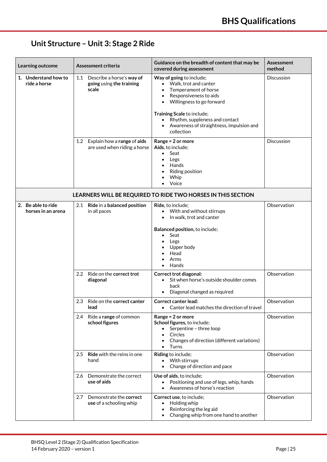## **Unit Structure – Unit 3: Stage 2 Ride**

| Learning outcome                         |     | Assessment criteria                                            | Guidance on the breadth of content that may be<br>covered during assessment                                                                                                                                                                                                              | Assessment<br>method |
|------------------------------------------|-----|----------------------------------------------------------------|------------------------------------------------------------------------------------------------------------------------------------------------------------------------------------------------------------------------------------------------------------------------------------------|----------------------|
| 1. Understand how to<br>ride a horse     | 1.1 | Describe a horse's way of<br>going using the training<br>scale | Way of going to include;<br>Walk, trot and canter<br>Temperament of horse<br>Responsiveness to aids<br>$\bullet$<br>Willingness to go forward<br>$\bullet$<br>Training Scale to include;<br>• Rhythm, suppleness and contact<br>• Awareness of straightness, impulsion and<br>collection | Discussion           |
|                                          | 1.2 | Explain how a range of aids<br>are used when riding a horse    | Range = 2 or more<br>Aids, to include;<br>Seat<br>Legs<br>Hands<br><b>Riding position</b><br>Whip<br>Voice                                                                                                                                                                               | <b>Discussion</b>    |
|                                          |     |                                                                | LEARNERS WILL BE REQUIRED TO RIDE TWO HORSES IN THIS SECTION                                                                                                                                                                                                                             |                      |
| 2. Be able to ride<br>horses in an arena | 2.1 | Ride in a balanced position<br>in all paces                    | Ride, to include;<br>• With and without stirrups<br>In walk, trot and canter<br>$\bullet$<br>Balanced position, to include;<br>Seat<br>$\bullet$<br>Legs<br>Upper body<br>Head<br>Arms<br>Hands                                                                                          | Observation          |
|                                          |     | 2.2 Ride on the correct trot<br>diagonal                       | Correct trot diagonal:<br>Sit when horse's outside shoulder comes<br>back<br>Diagonal changed as required                                                                                                                                                                                | Observation          |
|                                          | 2.3 | Ride on the correct canter<br>lead                             | <b>Correct canter lead:</b><br>Canter lead matches the direction of travel                                                                                                                                                                                                               | Observation          |
|                                          |     | 2.4 Ride a range of common<br>school figures                   | Range = 2 or more<br>School figures, to include;<br>Serpentine - three loop<br>Circles<br>Changes of direction (different variations)<br>Turns                                                                                                                                           | Observation          |
|                                          | 2.5 | <b>Ride</b> with the reins in one<br>hand                      | Riding to include;<br>With stirrups<br>Change of direction and pace                                                                                                                                                                                                                      | Observation          |
|                                          | 2.6 | Demonstrate the correct<br>use of aids                         | Use of aids, to include;<br>Positioning and use of legs, whip, hands<br>$\bullet$<br>Awareness of horse's reaction<br>$\bullet$                                                                                                                                                          | Observation          |
|                                          | 2.7 | Demonstrate the correct<br>use of a schooling whip             | Correct use, to include;<br>Holding whip<br>$\bullet$<br>Reinforcing the leg aid<br>Changing whip from one hand to another<br>$\bullet$                                                                                                                                                  | Observation          |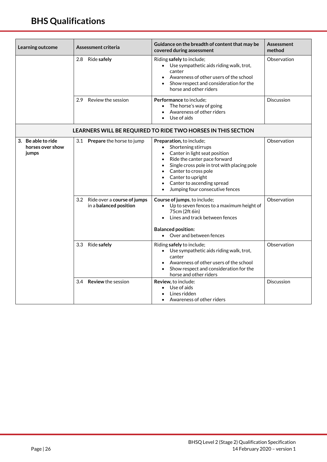| Learning outcome                                | <b>Assessment criteria</b>                                | Guidance on the breadth of content that may be<br>covered during assessment                                                                                                                                                                                                                             | Assessment<br>method |
|-------------------------------------------------|-----------------------------------------------------------|---------------------------------------------------------------------------------------------------------------------------------------------------------------------------------------------------------------------------------------------------------------------------------------------------------|----------------------|
|                                                 | 2.8<br>Ride safely                                        | Riding safely to include;<br>• Use sympathetic aids riding walk, trot,<br>canter<br>Awareness of other users of the school<br>• Show respect and consideration for the<br>horse and other riders                                                                                                        | Observation          |
|                                                 | Review the session<br>2.9                                 | <b>Performance</b> to include;<br>• The horse's way of going<br>Awareness of other riders<br>$\bullet$<br>Use of aids                                                                                                                                                                                   | <b>Discussion</b>    |
|                                                 |                                                           | LEARNERS WILL BE REQUIRED TO RIDE TWO HORSES IN THIS SECTION                                                                                                                                                                                                                                            |                      |
| 3. Be able to ride<br>horses over show<br>jumps | 3.1 Prepare the horse to jump                             | Preparation, to include;<br>Shortening stirrups<br>$\bullet$<br>Canter in light seat position<br>Ride the canter pace forward<br>Single cross pole in trot with placing pole<br>Canter to cross pole<br>$\bullet$<br>Canter to upright<br>Canter to ascending spread<br>Jumping four consecutive fences | Observation          |
|                                                 | 3.2 Ride over a course of jumps<br>in a balanced position | Course of jumps, to include;<br>• Up to seven fences to a maximum height of<br>75cm (2ft 6in)<br>Lines and track between fences<br><b>Balanced position:</b><br>• Over and between fences                                                                                                               | Observation          |
|                                                 | 3.3 Ride safely                                           | Riding safely to include;<br>• Use sympathetic aids riding walk, trot,<br>canter<br>Awareness of other users of the school<br>Show respect and consideration for the<br>horse and other riders                                                                                                          | Observation          |
|                                                 | 3.4 Review the session                                    | Review, to include:<br>Use of aids<br>Lines ridden<br>Awareness of other riders                                                                                                                                                                                                                         | Discussion           |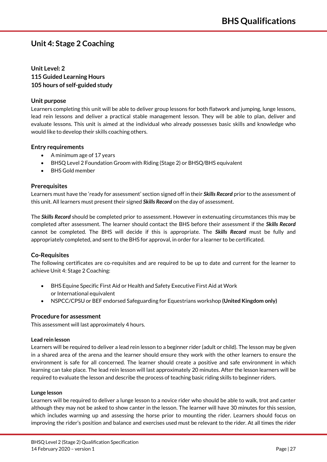### **Unit 4: Stage 2 Coaching**

#### **Unit Level: 2 115 Guided Learning Hours 105 hours of self-guided study**

#### **Unit purpose**

Learners completing this unit will be able to deliver group lessons for both flatwork and jumping, lunge lessons, lead rein lessons and deliver a practical stable management lesson. They will be able to plan, deliver and evaluate lessons. This unit is aimed at the individual who already possesses basic skills and knowledge who would like to develop their skills coaching others.

#### **Entry requirements**

- A minimum age of 17 years
- BHSQ Level 2 Foundation Groom with Riding (Stage 2) or BHSQ/BHS equivalent
- BHS Gold member

#### **Prerequisites**

Learners must have the 'ready for assessment' section signed off in their *Skills Record* prior to the assessment of this unit. All learners must present their signed *Skills Record* on the day of assessment.

The *Skills Record* should be completed prior to assessment. However in extenuating circumstances this may be completed after assessment. The learner should contact the BHS before their assessment if the *Skills Record* cannot be completed. The BHS will decide if this is appropriate. The *Skills Record* must be fully and appropriately completed, and sent to the BHS for approval, in order for a learner to be certificated.

#### **Co-Requisites**

The following certificates are co-requisites and are required to be up to date and current for the learner to achieve Unit 4: Stage 2 Coaching:

- BHS Equine Specific First Aid or Health and Safety Executive First Aid at Work or International equivalent
- NSPCC/CPSU or BEF endorsed Safeguarding for Equestrians workshop **(United Kingdom only)**

#### **Procedure for assessment**

This assessment will last approximately 4 hours.

#### **Lead rein lesson**

Learners will be required to deliver a lead rein lesson to a beginner rider (adult or child). The lesson may be given in a shared area of the arena and the learner should ensure they work with the other learners to ensure the environment is safe for all concerned. The learner should create a positive and safe environment in which learning can take place. The lead rein lesson will last approximately 20 minutes. After the lesson learners will be required to evaluate the lesson and describe the process of teaching basic riding skills to beginner riders.

#### **Lunge lesson**

Learners will be required to deliver a lunge lesson to a novice rider who should be able to walk, trot and canter although they may not be asked to show canter in the lesson. The learner will have 30 minutes for this session, which includes warming up and assessing the horse prior to mounting the rider. Learners should focus on improving the rider's position and balance and exercises used must be relevant to the rider. At all times the rider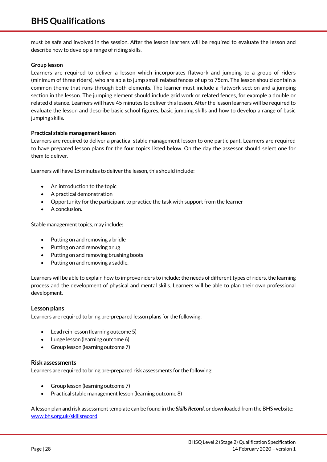must be safe and involved in the session. After the lesson learners will be required to evaluate the lesson and describe how to develop a range of riding skills.

#### **Group lesson**

Learners are required to deliver a lesson which incorporates flatwork and jumping to a group of riders (minimum of three riders), who are able to jump small related fences of up to 75cm. The lesson should contain a common theme that runs through both elements. The learner must include a flatwork section and a jumping section in the lesson. The jumping element should include grid work or related fences, for example a double or related distance. Learners will have 45 minutes to deliver this lesson. After the lesson learners will be required to evaluate the lesson and describe basic school figures, basic jumping skills and how to develop a range of basic jumping skills.

#### **Practical stable management lesson**

Learners are required to deliver a practical stable management lesson to one participant. Learners are required to have prepared lesson plans for the four topics listed below. On the day the assessor should select one for them to deliver.

Learners will have 15 minutes to deliver the lesson, this should include:

- An introduction to the topic
- A practical demonstration
- Opportunity for the participant to practice the task with support from the learner
- A conclusion.

Stable management topics, may include:

- Putting on and removing a bridle
- Putting on and removing a rug
- Putting on and removing brushing boots
- Putting on and removing a saddle.

Learners will be able to explain how to improve riders to include; the needs of different types of riders, the learning process and the development of physical and mental skills. Learners will be able to plan their own professional development.

#### **Lesson plans**

Learners are required to bring pre-prepared lesson plans for the following:

- Lead rein lesson (learning outcome 5)
- Lunge lesson (learning outcome 6)
- Group lesson (learning outcome 7)

#### **Risk assessments**

Learners are required to bring pre-prepared risk assessments for the following:

- Group lesson (learning outcome 7)
- Practical stable management lesson (learning outcome 8)

A lesson plan and risk assessment template can be found in the *Skills Record*, or downloaded from the BHS website: [www.bhs.org.uk/skillsrecord](http://www.bhs.org.uk/skillsrecord)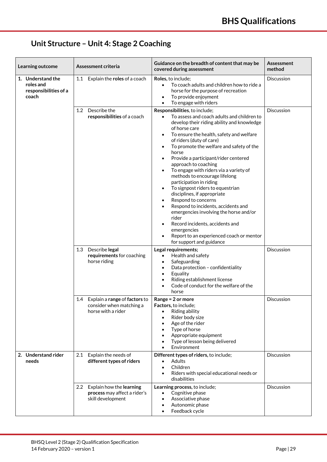## **Unit Structure – Unit 4: Stage 2 Coaching**

| Learning outcome                                                 | Assessment criteria                                                                                                      | Guidance on the breadth of content that may be<br>covered during assessment                                                                                                                                                                                                                                                                                                                                                                                                                                                                                                                                                                                                                                                                                                                                                                                                                                                                                                         | Assessment<br>method     |
|------------------------------------------------------------------|--------------------------------------------------------------------------------------------------------------------------|-------------------------------------------------------------------------------------------------------------------------------------------------------------------------------------------------------------------------------------------------------------------------------------------------------------------------------------------------------------------------------------------------------------------------------------------------------------------------------------------------------------------------------------------------------------------------------------------------------------------------------------------------------------------------------------------------------------------------------------------------------------------------------------------------------------------------------------------------------------------------------------------------------------------------------------------------------------------------------------|--------------------------|
| 1. Understand the<br>roles and<br>responsibilities of a<br>coach | 1.1<br>Explain the roles of a coach                                                                                      | Roles, to include;<br>To coach adults and children how to ride a<br>$\bullet$<br>horse for the purpose of recreation<br>To provide enjoyment<br>$\bullet$<br>To engage with riders<br>$\bullet$                                                                                                                                                                                                                                                                                                                                                                                                                                                                                                                                                                                                                                                                                                                                                                                     | Discussion               |
|                                                                  | 1.2<br>Describe the<br>responsibilities of a coach<br>1.3<br>Describe legal<br>requirements for coaching<br>horse riding | Responsibilities, to include;<br>To assess and coach adults and children to<br>$\bullet$<br>develop their riding ability and knowledge<br>of horse care<br>To ensure the health, safety and welfare<br>$\bullet$<br>of riders (duty of care)<br>To promote the welfare and safety of the<br>$\bullet$<br>horse<br>Provide a participant/rider centered<br>$\bullet$<br>approach to coaching<br>To engage with riders via a variety of<br>$\bullet$<br>methods to encourage lifelong<br>participation in riding<br>To signpost riders to equestrian<br>$\bullet$<br>disciplines, if appropriate<br>Respond to concerns<br>$\bullet$<br>Respond to incidents, accidents and<br>$\bullet$<br>emergencies involving the horse and/or<br>rider<br>Record incidents, accidents and<br>$\bullet$<br>emergencies<br>Report to an experienced coach or mentor<br>$\bullet$<br>for support and guidance<br>Legal requirements;<br>Health and safety<br>$\bullet$<br>Safeguarding<br>$\bullet$ | Discussion<br>Discussion |
|                                                                  |                                                                                                                          | Data protection - confidentiality<br>$\bullet$<br>Equality<br>$\bullet$<br>Riding establishment license<br>$\bullet$<br>Code of conduct for the welfare of the<br>horse                                                                                                                                                                                                                                                                                                                                                                                                                                                                                                                                                                                                                                                                                                                                                                                                             |                          |
|                                                                  | 1.4 Explain a range of factors to<br>consider when matching a<br>horse with a rider                                      | Range = 2 or more<br>Factors, to include;<br>Riding ability<br>$\bullet$<br>Rider body size<br>$\bullet$<br>Age of the rider<br>$\bullet$<br>Type of horse<br>$\bullet$<br>Appropriate equipment<br>$\bullet$<br>Type of lesson being delivered<br>$\bullet$<br>Environment                                                                                                                                                                                                                                                                                                                                                                                                                                                                                                                                                                                                                                                                                                         | Discussion               |
| 2. Understand rider<br>needs                                     | 2.1<br>Explain the needs of<br>different types of riders                                                                 | Different types of riders, to include;<br>Adults<br>$\bullet$<br>Children<br>$\bullet$<br>Riders with special educational needs or<br>$\bullet$<br>disabilities                                                                                                                                                                                                                                                                                                                                                                                                                                                                                                                                                                                                                                                                                                                                                                                                                     | Discussion               |
|                                                                  | Explain how the learning<br>2.2<br>process may affect a rider's<br>skill development                                     | Learning process, to include;<br>Cognitive phase<br>$\bullet$<br>Associative phase<br>$\bullet$<br>Autonomic phase<br>$\bullet$<br>Feedback cycle<br>$\bullet$                                                                                                                                                                                                                                                                                                                                                                                                                                                                                                                                                                                                                                                                                                                                                                                                                      | Discussion               |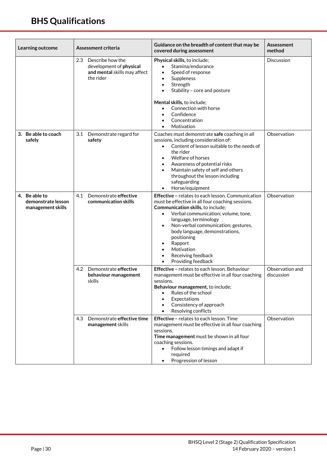| Learning outcome                                         |     | Assessment criteria                                                                      | Guidance on the breadth of content that may be<br>covered during assessment                                                                                                                                                                                                                                                                                                                                                              | Assessment<br>method          |
|----------------------------------------------------------|-----|------------------------------------------------------------------------------------------|------------------------------------------------------------------------------------------------------------------------------------------------------------------------------------------------------------------------------------------------------------------------------------------------------------------------------------------------------------------------------------------------------------------------------------------|-------------------------------|
|                                                          | 2.3 | Describe how the<br>development of physical<br>and mental skills may affect<br>the rider | Physical skills, to include;<br>Stamina/endurance<br>Speed of response<br>$\bullet$<br>Suppleness<br>$\bullet$<br>Strength<br>$\bullet$<br>Stability - core and posture<br>$\bullet$<br>Mental skills, to include;<br>Connection with horse<br>$\bullet$<br>Confidence<br>$\bullet$                                                                                                                                                      | <b>Discussion</b>             |
|                                                          |     |                                                                                          | Concentration<br>Motivation<br>$\bullet$                                                                                                                                                                                                                                                                                                                                                                                                 |                               |
| 3. Be able to coach<br>safely                            |     | 3.1 Demonstrate regard for<br>safety                                                     | Coaches must demonstrate safe coaching in all<br>sessions, including consideration of:<br>Content of lesson suitable to the needs of<br>$\bullet$<br>the rider<br>Welfare of horses<br>Awareness of potential risks<br>Maintain safety of self and others<br>$\bullet$<br>throughout the lesson including<br>safeguarding<br>Horse/equipment                                                                                             | Observation                   |
| 4. Be able to<br>demonstrate lesson<br>management skills | 4.1 | Demonstrate effective<br>communication skills                                            | Effective - relates to each lesson. Communication<br>must be effective in all four coaching sessions.<br>Communication skills, to include;<br>Verbal communication; volume, tone,<br>$\bullet$<br>language, terminology<br>Non-verbal communication; gestures,<br>body language, demonstrations,<br>positioning<br>Rapport<br>$\bullet$<br>Motivation<br>$\bullet$<br>Receiving feedback<br>$\bullet$<br>Providing feedback<br>$\bullet$ | Observation                   |
|                                                          |     | 4.2 Demonstrate effective<br>behaviour management<br>skills                              | Effective - relates to each lesson. Behaviour<br>management must be effective in all four coaching<br>sessions.<br>Behaviour management, to include;<br>Rules of the school<br>Expectations<br>$\bullet$<br>Consistency of approach<br>Resolving conflicts<br>$\bullet$                                                                                                                                                                  | Observation and<br>discussion |
|                                                          |     | 4.3 Demonstrate effective time<br>management skills                                      | Effective - relates to each lesson. Time<br>management must be effective in all four coaching<br>sessions.<br>Time management must be shown in all four<br>coaching sessions.<br>Follow lesson timings and adapt if<br>$\bullet$<br>required<br>Progression of lesson                                                                                                                                                                    | Observation                   |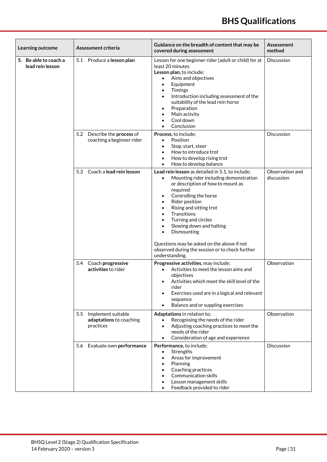| Learning outcome                          | Assessment criteria                                               | Guidance on the breadth of content that may be<br>covered during assessment                                                                                                                                                                                                                                                                                                                                                                                                            | Assessment<br>method          |
|-------------------------------------------|-------------------------------------------------------------------|----------------------------------------------------------------------------------------------------------------------------------------------------------------------------------------------------------------------------------------------------------------------------------------------------------------------------------------------------------------------------------------------------------------------------------------------------------------------------------------|-------------------------------|
| 5. Be able to coach a<br>lead rein lesson | 5.1 Produce a lesson plan                                         | Lesson for one beginner rider (adult or child) for at<br>least 20 minutes<br>Lesson plan, to include;<br>Aims and objectives<br>Equipment<br>Timings<br>$\bullet$<br>Introduction including assessment of the<br>$\bullet$<br>suitability of the lead rein horse<br>Preparation<br>Main activity<br>Cool down<br>Conclusion<br>$\bullet$                                                                                                                                               | <b>Discussion</b>             |
|                                           | 5.2 Describe the process of<br>coaching a beginner rider          | Process, to include;<br>Position<br>$\bullet$<br>Stop, start, steer<br>$\bullet$<br>How to introduce trot<br>$\bullet$<br>How to develop rising trot<br>$\bullet$<br>How to develop balance<br>$\bullet$                                                                                                                                                                                                                                                                               | Discussion                    |
|                                           | Coach a lead rein lesson<br>5.3                                   | Lead rein lesson as detailed in 5.1, to include;<br>Mounting rider including demonstration<br>$\bullet$<br>or description of how to mount as<br>required<br>Controlling the horse<br>$\bullet$<br>Rider position<br>$\bullet$<br>Rising and sitting trot<br>$\bullet$<br>Transitions<br>Turning and circles<br>Slowing down and halting<br>Dismounting<br>$\bullet$<br>Questions may be asked on the above if not<br>observed during the session or to check further<br>understanding. | Observation and<br>discussion |
|                                           | Coach progressive<br>5.4<br>activities to rider                   | Progressive activities, may include;<br>Activities to meet the lesson aims and<br>objectives<br>Activities which meet the skill level of the<br>rider<br>Exercises used are in a logical and relevant<br>$\bullet$<br>sequence<br>Balance and or suppling exercises                                                                                                                                                                                                                    | Observation                   |
|                                           | Implement suitable<br>5.5<br>adaptations to coaching<br>practices | Adaptations in relation to;<br>Recognising the needs of the rider<br>Adjusting coaching practices to meet the<br>$\bullet$<br>needs of the rider<br>Consideration of age and experience                                                                                                                                                                                                                                                                                                | Observation                   |
|                                           | 5.6<br>Evaluate own performance                                   | Performance, to include;<br>Strengths<br>Areas for improvement<br>Planning<br>$\bullet$<br>Coaching practices<br>$\bullet$<br>Communication skills<br>Lesson management skills<br>Feedback provided to rider                                                                                                                                                                                                                                                                           | <b>Discussion</b>             |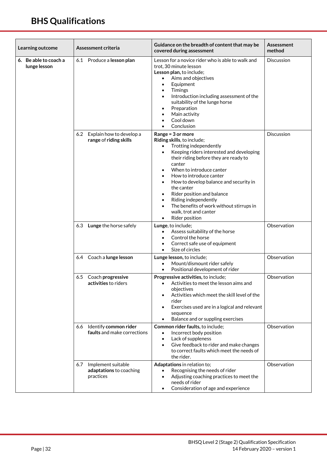| <b>Learning outcome</b>               | Assessment criteria                                               | Guidance on the breadth of content that may be<br>covered during assessment                                                                                                                                                                                                                                                                                                                                                                                                              | Assessment<br>method |
|---------------------------------------|-------------------------------------------------------------------|------------------------------------------------------------------------------------------------------------------------------------------------------------------------------------------------------------------------------------------------------------------------------------------------------------------------------------------------------------------------------------------------------------------------------------------------------------------------------------------|----------------------|
| 6. Be able to coach a<br>lunge lesson | 6.1 Produce a lesson plan                                         | Lesson for a novice rider who is able to walk and<br>trot, 30 minute lesson<br>Lesson plan, to include;<br>Aims and objectives<br>Equipment<br>$\bullet$<br>Timings<br>$\bullet$<br>Introduction including assessment of the<br>suitability of the lunge horse<br>Preparation<br>$\bullet$<br>Main activity<br>Cool down<br>Conclusion                                                                                                                                                   | <b>Discussion</b>    |
|                                       | 6.2 Explain how to develop a<br>range of riding skills            | Range = 3 or more<br>Riding skills, to include;<br>Trotting independently<br>Keeping riders interested and developing<br>their riding before they are ready to<br>canter<br>When to introduce canter<br>How to introduce canter<br>How to develop balance and security in<br>$\bullet$<br>the canter<br>Rider position and balance<br>Riding independently<br>$\bullet$<br>The benefits of work without stirrups in<br>$\bullet$<br>walk, trot and canter<br>Rider position<br>$\bullet$ | Discussion           |
|                                       | 6.3 Lunge the horse safely                                        | Lunge, to include;<br>Assess suitability of the horse<br>Control the horse<br>Correct safe use of equipment<br>Size of circles<br>$\bullet$                                                                                                                                                                                                                                                                                                                                              | Observation          |
|                                       | 6.4 Coach a lunge lesson                                          | Lunge lesson, to include;<br>Mount/dismount rider safely<br>Positional development of rider<br>$\bullet$                                                                                                                                                                                                                                                                                                                                                                                 | Observation          |
|                                       | Coach progressive<br>6.5<br>activities to riders                  | Progressive activities, to include;<br>Activities to meet the lesson aims and<br>objectives<br>Activities which meet the skill level of the<br>rider<br>Exercises used are in a logical and relevant<br>sequence<br>Balance and or suppling exercises                                                                                                                                                                                                                                    | Observation          |
|                                       | Identify common rider<br>6.6<br>faults and make corrections       | Common rider faults, to include;<br>Incorrect body position<br>$\bullet$<br>Lack of suppleness<br>$\bullet$<br>Give feedback to rider and make changes<br>$\bullet$<br>to correct faults which meet the needs of<br>the rider.                                                                                                                                                                                                                                                           | Observation          |
|                                       | Implement suitable<br>6.7<br>adaptations to coaching<br>practices | Adaptations in relation to;<br>Recognising the needs of rider<br>Adjusting coaching practices to meet the<br>needs of rider<br>Consideration of age and experience                                                                                                                                                                                                                                                                                                                       | Observation          |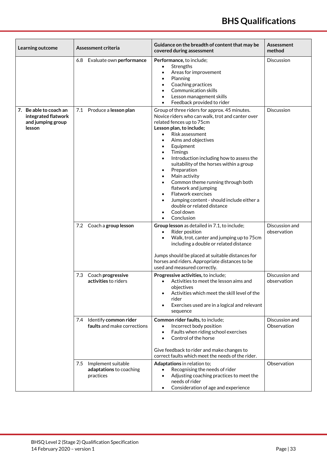| Learning outcome                                                             | Assessment criteria                                               | Guidance on the breadth of content that may be<br>covered during assessment                                                                                                                                                                                                                                                                                                                                                                                                                                                                                                                              | Assessment<br>method          |
|------------------------------------------------------------------------------|-------------------------------------------------------------------|----------------------------------------------------------------------------------------------------------------------------------------------------------------------------------------------------------------------------------------------------------------------------------------------------------------------------------------------------------------------------------------------------------------------------------------------------------------------------------------------------------------------------------------------------------------------------------------------------------|-------------------------------|
|                                                                              | 6.8<br>Evaluate own performance                                   | Performance, to include;<br>Strengths<br>$\bullet$<br>Areas for improvement<br>$\bullet$<br>Planning<br>$\bullet$<br>Coaching practices<br><b>Communication skills</b><br>Lesson management skills<br>Feedback provided to rider<br>$\bullet$                                                                                                                                                                                                                                                                                                                                                            | Discussion                    |
| 7. Be able to coach an<br>integrated flatwork<br>and jumping group<br>lesson | 7.1 Produce a lesson plan                                         | Group of three riders for approx. 45 minutes.<br>Novice riders who can walk, trot and canter over<br>related fences up to 75cm<br>Lesson plan, to include;<br>Risk assessment<br>Aims and objectives<br>Equipment<br>$\bullet$<br>Timings<br>$\bullet$<br>Introduction including how to assess the<br>suitability of the horses within a group<br>Preparation<br>$\bullet$<br>Main activity<br>Common theme running through both<br>flatwork and jumping<br><b>Flatwork exercises</b><br>Jumping content - should include either a<br>double or related distance<br>Cool down<br>Conclusion<br>$\bullet$ | Discussion                    |
|                                                                              | 7.2<br>Coach a group lesson                                       | Group lesson as detailed in 7.1, to include;<br>Rider position<br>Walk, trot, canter and jumping up to 75cm<br>including a double or related distance<br>Jumps should be placed at suitable distances for<br>horses and riders. Appropriate distances to be                                                                                                                                                                                                                                                                                                                                              | Discussion and<br>observation |
|                                                                              | Coach progressive<br>7.3<br>activities to riders                  | used and measured correctly.<br>Progressive activities, to include;<br>Activities to meet the lesson aims and<br>$\bullet$<br>objectives<br>Activities which meet the skill level of the<br>rider<br>Exercises used are in a logical and relevant<br>sequence                                                                                                                                                                                                                                                                                                                                            | Discussion and<br>observation |
|                                                                              | Identify common rider<br>7.4<br>faults and make corrections       | Common rider faults, to include;<br>Incorrect body position<br>$\bullet$<br>Faults when riding school exercises<br>$\bullet$<br>Control of the horse<br>$\bullet$<br>Give feedback to rider and make changes to<br>correct faults which meet the needs of the rider.                                                                                                                                                                                                                                                                                                                                     | Discussion and<br>Observation |
|                                                                              | Implement suitable<br>7.5<br>adaptations to coaching<br>practices | Adaptations in relation to;<br>Recognising the needs of rider<br>Adjusting coaching practices to meet the<br>$\bullet$<br>needs of rider<br>Consideration of age and experience<br>$\bullet$                                                                                                                                                                                                                                                                                                                                                                                                             | Observation                   |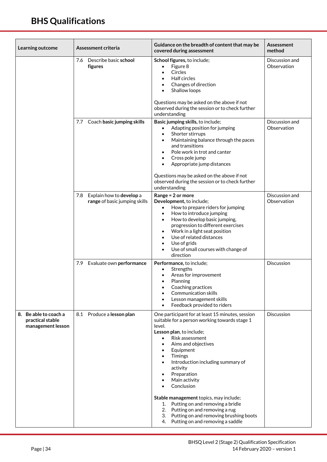| Learning outcome                                               | Assessment criteria                                              | Guidance on the breadth of content that may be<br>covered during assessment                                                                                                                                                                                                                                                                                                                                                                                                                                                                                                                          | Assessment<br>method          |
|----------------------------------------------------------------|------------------------------------------------------------------|------------------------------------------------------------------------------------------------------------------------------------------------------------------------------------------------------------------------------------------------------------------------------------------------------------------------------------------------------------------------------------------------------------------------------------------------------------------------------------------------------------------------------------------------------------------------------------------------------|-------------------------------|
|                                                                | 7.6<br>Describe basic school<br>figures                          | School figures, to include;<br>Figure 8<br>Circles<br>Half circles<br>$\bullet$<br>Changes of direction<br>$\bullet$<br>Shallow loops<br>$\bullet$<br>Questions may be asked on the above if not<br>observed during the session or to check further<br>understanding                                                                                                                                                                                                                                                                                                                                 | Discussion and<br>Observation |
|                                                                | 7.7 Coach basic jumping skills                                   | Basic jumping skills, to include;<br>Adapting position for jumping<br>$\bullet$<br>Shorter stirrups<br>$\bullet$<br>Maintaining balance through the paces<br>$\bullet$<br>and transitions<br>Pole work in trot and canter<br>$\bullet$<br>Cross pole jump<br>Appropriate jump distances<br>Questions may be asked on the above if not<br>observed during the session or to check further<br>understanding                                                                                                                                                                                            | Discussion and<br>Observation |
|                                                                | Explain how to develop a<br>7.8<br>range of basic jumping skills | Range = 2 or more<br>Development, to include;<br>How to prepare riders for jumping<br>$\bullet$<br>How to introduce jumping<br>$\bullet$<br>How to develop basic jumping,<br>$\bullet$<br>progression to different exercises<br>Work in a light seat position<br>$\bullet$<br>Use of related distances<br>$\bullet$<br>Use of grids<br>$\bullet$<br>Use of small courses with change of<br>$\bullet$<br>direction                                                                                                                                                                                    | Discussion and<br>Observation |
|                                                                | 7.9 Evaluate own performance                                     | Performance, to include;<br>Strengths<br>Areas for improvement<br>$\bullet$<br>Planning<br>٠<br>Coaching practices<br>٠<br><b>Communication skills</b><br>Lesson management skills<br>$\bullet$<br>Feedback provided to riders<br>$\bullet$                                                                                                                                                                                                                                                                                                                                                          | Discussion                    |
| 8. Be able to coach a<br>practical stable<br>management lesson | 8.1 Produce a lesson plan                                        | One participant for at least 15 minutes, session<br>suitable for a person working towards stage 1<br>level.<br>Lesson plan, to include;<br>Risk assessment<br>$\bullet$<br>Aims and objectives<br>$\bullet$<br>Equipment<br>$\bullet$<br>Timings<br>٠<br>Introduction including summary of<br>activity<br>Preparation<br>$\bullet$<br>Main activity<br>$\bullet$<br>Conclusion<br>$\bullet$<br>Stable management topics, may include;<br>1. Putting on and removing a bridle<br>2. Putting on and removing a rug<br>3. Putting on and removing brushing boots<br>4. Putting on and removing a saddle | Discussion                    |